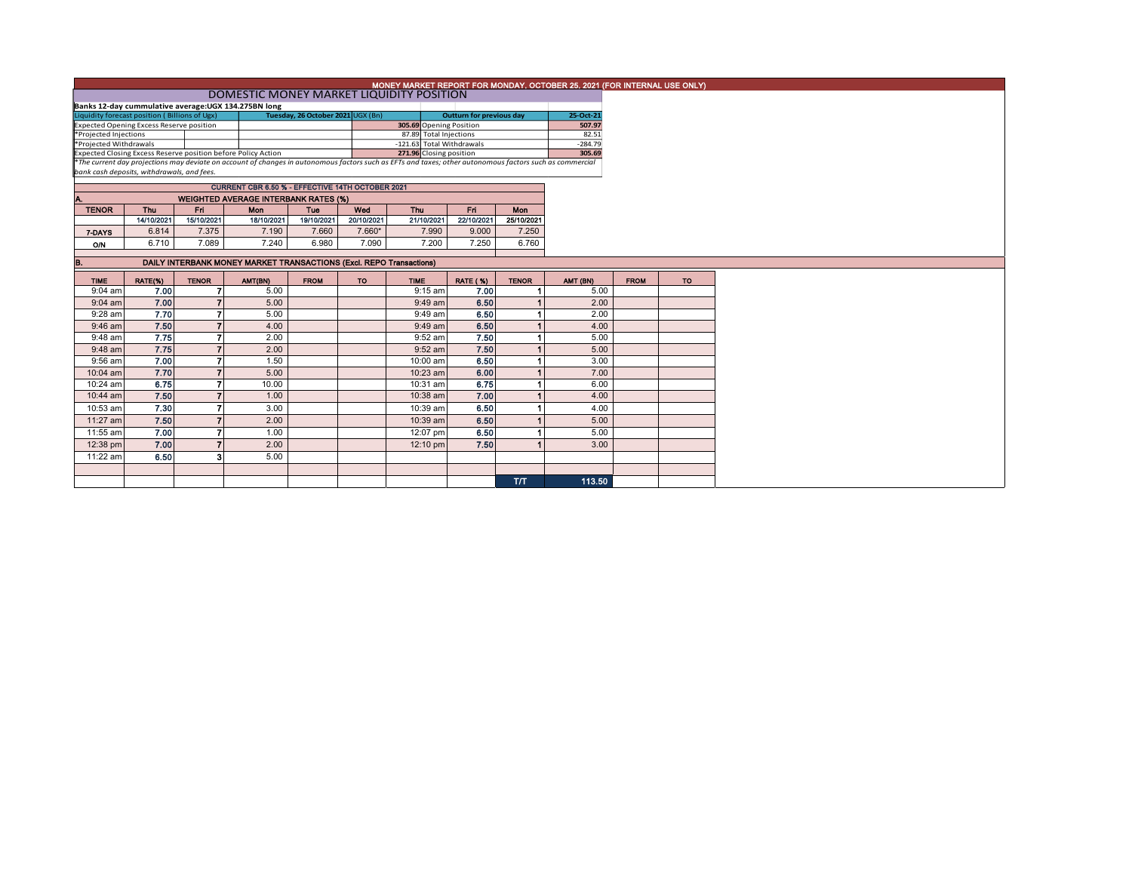| MONEY MARKET REPORT FOR MONDAY, OCTOBER 25, 2021 (FOR INTERNAL USE ONLY) |  |
|--------------------------------------------------------------------------|--|
|                                                                          |  |

|                                                                                                                                                          | DOMESTIC MONEY MARKET LIQUIDITY POSITION |                                 |           |
|----------------------------------------------------------------------------------------------------------------------------------------------------------|------------------------------------------|---------------------------------|-----------|
| Banks 12-day cummulative average: UGX 134.275BN long                                                                                                     |                                          |                                 |           |
| Liquidity forecast position (Billions of Ugx)                                                                                                            | Tuesday, 26 October 2021 UGX (Bn)        | <b>Outturn for previous day</b> | 25-Oct-21 |
| <b>Expected Opening Excess Reserve position</b>                                                                                                          |                                          | 305.69 Opening Position         | 507.97    |
| *Projected Injections                                                                                                                                    |                                          | 87.89 Total Injections          | 82.51     |
| *Projected Withdrawals                                                                                                                                   |                                          | -121.63 Total Withdrawals       | $-284.79$ |
| Expected Closing Excess Reserve position before Policy Action                                                                                            |                                          | 271.96 Closing position         | 305.69    |
| *The current day projections may deviate on account of changes in autonomous factors such as EFTs and taxes; other autonomous factors such as commercial |                                          |                                 |           |

*bank cash deposits, withdrawals, and fees.*

|                                                    | <b>CURRENT CBR 6.50 % - EFFECTIVE 14TH OCTOBER 2021</b> |            |            |            |            |            |            |            |  |  |  |  |  |  |  |
|----------------------------------------------------|---------------------------------------------------------|------------|------------|------------|------------|------------|------------|------------|--|--|--|--|--|--|--|
| <b>WEIGHTED AVERAGE INTERBANK RATES (%)</b><br>IA. |                                                         |            |            |            |            |            |            |            |  |  |  |  |  |  |  |
| <b>TENOR</b>                                       | Thu                                                     | Fri        | Mon        | Tuo        | Wed        | <b>Thu</b> | Fri        | <b>Mon</b> |  |  |  |  |  |  |  |
|                                                    | 14/10/2021                                              | 15/10/2021 | 18/10/2021 | 19/10/2021 | 20/10/2021 | 21/10/2021 | 22/10/2021 | 25/10/2021 |  |  |  |  |  |  |  |
| 7-DAYS                                             | 6.814                                                   | 7.375      | 7.190      | 7.660      | $7.660*$   | 7.990      | 9.000      | 7.250      |  |  |  |  |  |  |  |
| O/N                                                | 6.710                                                   | 7.089      | 7.240      | 6.980      | 7.090      | 7.200      | 7.250      | 6.760      |  |  |  |  |  |  |  |

| В.          | DAILY INTERBANK MONEY MARKET TRANSACTIONS (Excl. REPO Transactions) |              |         |             |           |             |                 |              |          |             |           |  |
|-------------|---------------------------------------------------------------------|--------------|---------|-------------|-----------|-------------|-----------------|--------------|----------|-------------|-----------|--|
| <b>TIME</b> | RATE(%)                                                             | <b>TENOR</b> | AMT(BN) | <b>FROM</b> | <b>TO</b> | <b>TIME</b> | <b>RATE (%)</b> | <b>TENOR</b> | AMT (BN) | <b>FROM</b> | <b>TO</b> |  |
| $9:04$ am   | 7.00                                                                |              | 5.00    |             |           | $9:15$ am   | 7.00            |              | 5.00     |             |           |  |
| $9:04$ am   | 7.00                                                                |              | 5.00    |             |           | $9:49$ am   | 6.50            |              | 2.00     |             |           |  |
| 9:28 am     | 7.70                                                                |              | 5.00    |             |           | $9:49$ am   | 6.50            |              | 2.00     |             |           |  |
| $9:46$ am   | 7.50                                                                |              | 4.00    |             |           | 9:49 am     | 6.50            |              | 4.00     |             |           |  |
| 9:48 am     | 7.75                                                                |              | 2.00    |             |           | $9:52$ am   | 7.50            |              | 5.00     |             |           |  |
| $9:48$ am   | 7.75                                                                |              | 2.00    |             |           | $9:52$ am   | 7.50            |              | 5.00     |             |           |  |
| 9:56 am     | 7.00                                                                |              | 1.50    |             |           | 10:00 am    | 6.50            |              | 3.00     |             |           |  |
| 10:04 am    | 7.70                                                                |              | 5.00    |             |           | 10:23 am    | 6.00            |              | 7.00     |             |           |  |
| 10:24 am    | 6.75                                                                |              | 10.00   |             |           | 10:31 am    | 6.75            |              | 6.00     |             |           |  |
| 10:44 am    | 7.50                                                                |              | 1.00    |             |           | 10:38 am    | 7.00            |              | 4.00     |             |           |  |
| 10:53 am    | 7.30                                                                |              | 3.00    |             |           | 10:39 am    | 6.50            |              | 4.00     |             |           |  |
| 11:27 am    | 7.50                                                                |              | 2.00    |             |           | 10:39 am    | 6.50            |              | 5.00     |             |           |  |
| 11:55 am    | 7.00                                                                |              | 1.00    |             |           | 12:07 pm    | 6.50            |              | 5.00     |             |           |  |
| 12:38 pm    | 7.00                                                                |              | 2.00    |             |           | 12:10 pm    | 7.50            |              | 3.00     |             |           |  |
| 11:22 am    | 6.50                                                                |              | 5.00    |             |           |             |                 |              |          |             |           |  |
|             |                                                                     |              |         |             |           |             |                 |              |          |             |           |  |
|             |                                                                     |              |         |             |           |             |                 | T/T          | 113.50   |             |           |  |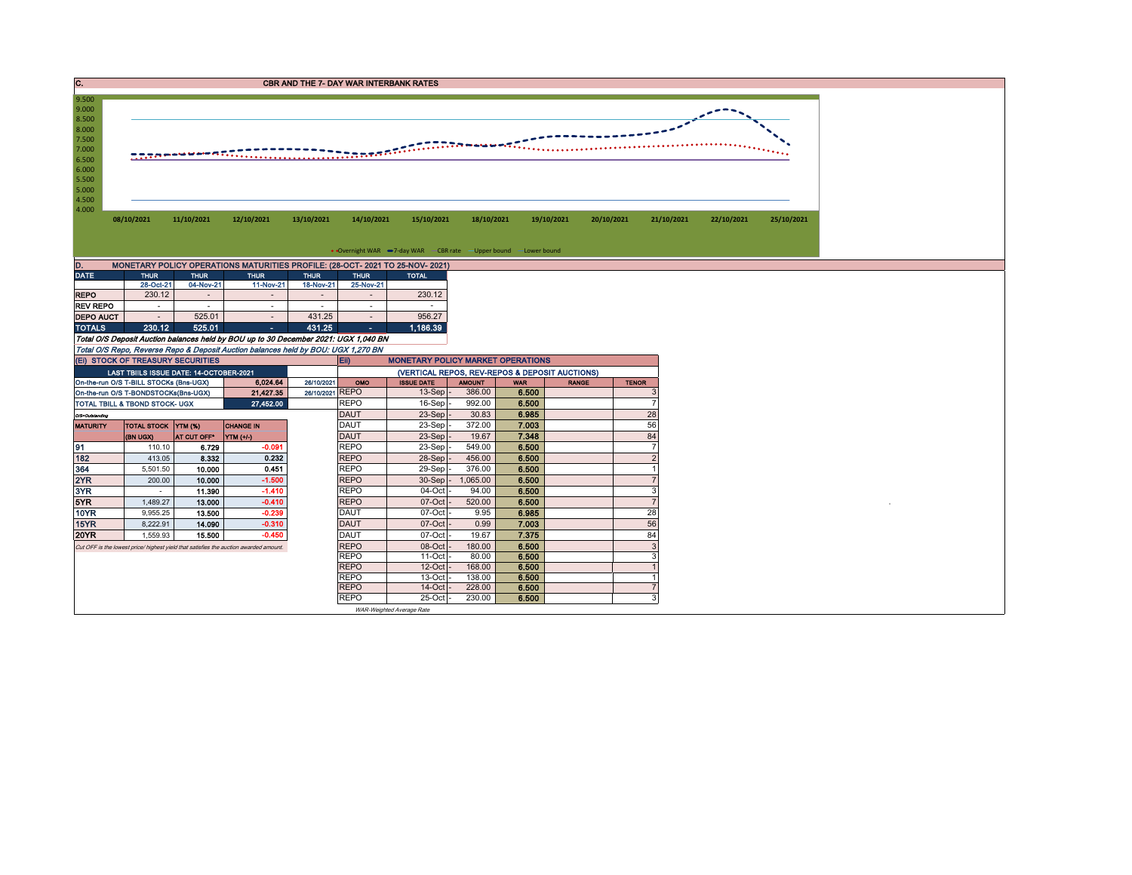| . . | <b>CBR AND THE 7- DAY WAR INTERBANK RATES</b> |
|-----|-----------------------------------------------|
|     |                                               |



| D.               |             |             | MONETARY POLICY OPERATIONS MATURITIES PROFILE: (28-OCT- 2021 TO 25-NOV- 2021) |             |             |              |
|------------------|-------------|-------------|-------------------------------------------------------------------------------|-------------|-------------|--------------|
| <b>DATE</b>      | <b>THUR</b> | <b>THUR</b> | <b>THUR</b>                                                                   | <b>THUR</b> | <b>THUR</b> | <b>TOTAL</b> |
|                  | 28-Oct-21   | 04-Nov-21   | 11-Nov-21                                                                     | 18-Nov-21   | 25-Nov-21   |              |
| <b>REPO</b>      | 230.12      |             |                                                                               |             |             | 230.12       |
| <b>REV REPO</b>  | ۰           | ۰           | ۰                                                                             | ۰           | ۰           |              |
| <b>DEPO AUCT</b> | ۰           | 525.01      | $\overline{\phantom{a}}$                                                      | 431.25      |             | 956.27       |
| <b>TOTALS</b>    | 230.12      | 525.01      | ٠                                                                             | 431.25      | ٠           | 1,186.39     |

Total O/S Deposit Auction balances held by BOU up to 30 December 2021: UGX 1,040 BN Total O/S Repo, Reverse Repo & Deposit Auction balances held by BOU: UGX 1,270 BN

|                 | (EI) STOCK OF TREASURY SECURITIES      |                                         |                                                                                      |                 | <b>E</b> ii) | <b>MONETARY POLICY MARKET OPERATIONS</b> |               |            |                                                |              |
|-----------------|----------------------------------------|-----------------------------------------|--------------------------------------------------------------------------------------|-----------------|--------------|------------------------------------------|---------------|------------|------------------------------------------------|--------------|
|                 |                                        | LAST TBIILS ISSUE DATE: 14-OCTOBER-2021 |                                                                                      |                 |              |                                          |               |            | (VERTICAL REPOS, REV-REPOS & DEPOSIT AUCTIONS) |              |
|                 | On-the-run O/S T-BILL STOCKs (Bns-UGX) |                                         | 6.024.64                                                                             | 26/10/2021      | OMO          | <b>ISSUE DATE</b>                        | <b>AMOUNT</b> | <b>WAR</b> | <b>RANGE</b>                                   | <b>TENOR</b> |
|                 | On-the-run O/S T-BONDSTOCKs(Bns-UGX)   |                                         | 21.427.35                                                                            | 26/10/2021 REPO |              | $13-Sep$ -                               | 386.00        | 6.500      |                                                |              |
|                 | TOTAL TBILL & TBOND STOCK- UGX         |                                         | 27,452.00                                                                            |                 | <b>REPO</b>  | $16-Sep$ -                               | 992.00        | 6.500      |                                                |              |
| O/S=Outstanding |                                        |                                         |                                                                                      |                 | <b>DAUT</b>  | 23-Sep -                                 | 30.83         | 6.985      |                                                | 28           |
| <b>MATURITY</b> | <b>TOTAL STOCK YTM (%)</b>             |                                         | <b>CHANGE IN</b>                                                                     |                 | <b>DAUT</b>  | 23-Sep-                                  | 372.00        | 7.003      |                                                | 56           |
|                 | <b>(BN UGX)</b>                        | <b>AT CUT OFF'</b>                      | YTM (+/-)                                                                            |                 | <b>DAUT</b>  | $23-Sep$ .                               | 19.67         | 7.348      |                                                | 84           |
| 91              | 110.10                                 | 6.729                                   | $-0.091$                                                                             |                 | <b>REPO</b>  | 23-Sep                                   | 549.00        | 6.500      |                                                |              |
| 182             | 413.05                                 | 8.332                                   | 0.232                                                                                |                 | <b>REPO</b>  | 28-Sep -                                 | 456.00        | 6.500      |                                                |              |
| 364             | 5,501.50                               | 10.000                                  | 0.451                                                                                |                 | <b>REPO</b>  | 29-Sep.                                  | 376.00        | 6.500      |                                                |              |
| 2YR             | 200.00                                 | 10.000                                  | $-1.500$                                                                             |                 | <b>REPO</b>  | $30-Sep$ .                               | 1,065.00      | 6.500      |                                                |              |
| 3YR             |                                        | 11.390                                  | $-1.410$                                                                             |                 | <b>REPO</b>  | $04$ -Oct                                | 94.00         | 6.500      |                                                |              |
| 5YR.            | 1,489.27                               | 13.000                                  | $-0.410$                                                                             |                 | <b>REPO</b>  | 07-Oct -                                 | 520.00        | 6.500      |                                                |              |
| 10YR            | 9,955.25                               | 13.500                                  | $-0.239$                                                                             |                 | <b>DAUT</b>  | $07-Cct$                                 | 9.95          | 6.985      |                                                | 28           |
| 15YR            | 8,222.91                               | 14.090                                  | $-0.310$                                                                             |                 | <b>DAUT</b>  | $07$ -Oct $-$                            | 0.99          | 7.003      |                                                | 56           |
| 20YR            | 1.559.93                               | 15.500                                  | $-0.450$                                                                             |                 | <b>DAUT</b>  | $07-Cct$                                 | 19.67         | 7.375      |                                                | 84           |
|                 |                                        |                                         | Cut OFF is the lowest price/highest yield that satisfies the auction awarded amount. |                 | <b>REPO</b>  | 08-Oct -                                 | 180.00        | 6.500      |                                                |              |
|                 |                                        |                                         |                                                                                      |                 | <b>REPO</b>  | $11$ -Oct $\cdot$                        | 80.00         | 6.500      |                                                |              |
|                 |                                        |                                         |                                                                                      |                 | <b>REPO</b>  | $12$ -Oct $-$                            | 168.00        | 6.500      |                                                |              |
|                 |                                        |                                         |                                                                                      |                 | <b>REPO</b>  | $13-Oct$                                 | 138.00        | 6.500      |                                                |              |
|                 |                                        |                                         |                                                                                      |                 | <b>REPO</b>  | $14$ -Oct                                | 228.00        | 6.500      |                                                |              |
|                 |                                        |                                         |                                                                                      |                 | <b>REPO</b>  | 25-Oct -                                 | 230.00        | 6.500      |                                                |              |
|                 |                                        |                                         |                                                                                      |                 |              | WAR-Weighted Average Rate                |               |            |                                                |              |